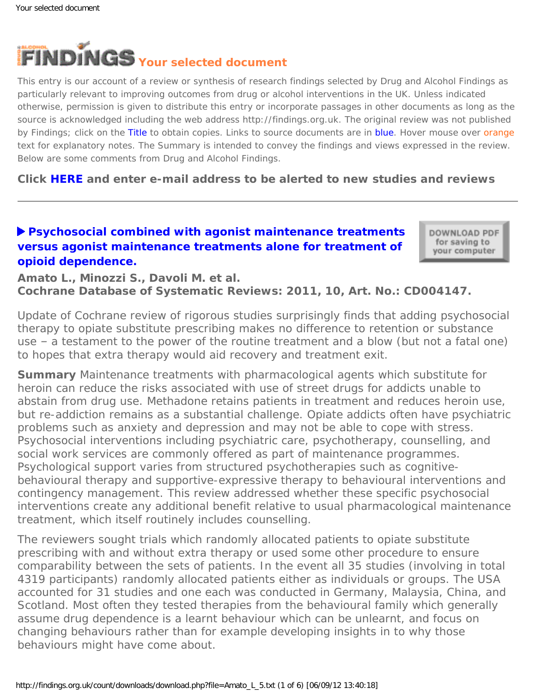<span id="page-0-0"></span>

This entry is our account of a review or synthesis of research findings selected by Drug and Alcohol Findings as particularly relevant to improving outcomes from drug or alcohol interventions in the UK. Unless indicated otherwise, permission is given to distribute this entry or incorporate passages in other documents as long as the source is acknowledged including the web address http://findings.org.uk. The original review was not published by Findings; click on the Title to obtain copies. Links to source documents are in blue. Hover mouse over orange text for explanatory notes. The Summary is intended to convey the findings and views expressed in the review. Below are some comments from Drug and Alcohol Findings.

**Click [HERE](https://findings.org.uk/index.php#signUp) and enter e-mail address to be alerted to new studies and reviews**

# **[Psychosocial combined with agonist maintenance treatments](http://dx.doi.org/10.1002/14651858.CD004147.pub4)  [versus agonist maintenance treatments alone for treatment of](http://dx.doi.org/10.1002/14651858.CD004147.pub4) [opioid dependence.](http://dx.doi.org/10.1002/14651858.CD004147.pub4)**

DOWNLOAD PDF for saving to your computer

**Amato L., Minozzi S., Davoli M. et al. Cochrane Database of Systematic Reviews: 2011, 10, Art. No.: CD004147.**

*Update of Cochrane review of rigorous studies surprisingly finds that adding psychosocial therapy to opiate substitute prescribing makes no difference to retention or substance use – a testament to the power of the routine treatment and a blow (but not a fatal one) to hopes that extra therapy would aid recovery and treatment exit.*

**Summary** Maintenance treatments with pharmacological agents which substitute for heroin can reduce the risks associated with use of street drugs for addicts unable to abstain from drug use. Methadone retains patients in treatment and reduces heroin use, but re-addiction remains as a substantial challenge. Opiate addicts often have psychiatric problems such as anxiety and depression and may not be able to cope with stress. Psychosocial interventions including psychiatric care, psychotherapy, counselling, and social work services are commonly offered as part of maintenance programmes. Psychological support varies from structured psychotherapies such as cognitivebehavioural therapy and supportive-expressive therapy to behavioural interventions and contingency management. This review addressed whether these specific psychosocial interventions create any additional benefit relative to usual pharmacological maintenance treatment, which itself routinely includes counselling.

The reviewers sought trials which randomly allocated patients to opiate substitute prescribing with and without extra therapy or used some other procedure to ensure comparability between the sets of patients. In the event all 35 studies (involving in total 4319 participants) randomly allocated patients either as individuals or groups. The USA accounted for 31 studies and one each was conducted in Germany, Malaysia, China, and Scotland. Most often they tested therapies from the behavioural family which generally assume drug dependence is a learnt behaviour which can be unlearnt, and focus on changing behaviours rather than for example developing insights in to why those behaviours might have come about.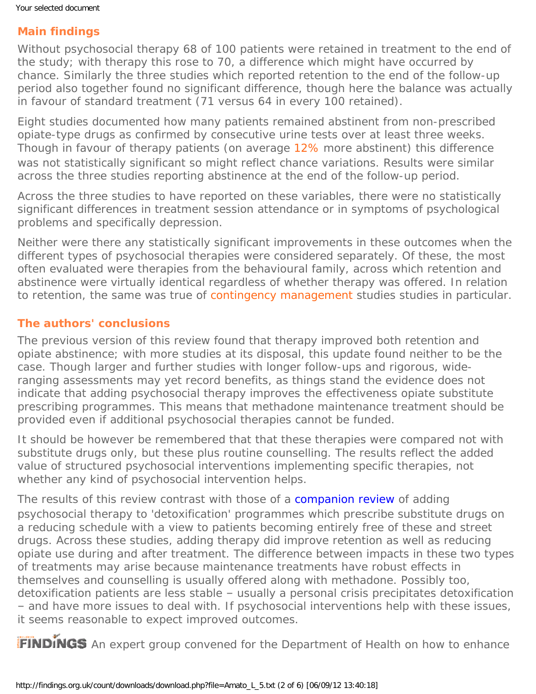# **Main findings**

Without psychosocial therapy 68 of 100 patients were retained in treatment to the end of the study; with therapy this rose to 70, a difference which might have occurred by chance. Similarly the three studies which reported retention to the end of the follow-up period also together found no significant difference, though here the balance was actually in favour of standard treatment (71 versus 64 in every 100 retained).

Eight studies documented how many patients remained abstinent from non-prescribed opiate-type drugs as confirmed by consecutive urine tests over at least three weeks. Though in favour of therapy patients (on average [12%](#page-0-0) more abstinent) this difference was not statistically significant so might reflect chance variations. Results were similar across the three studies reporting abstinence at the end of the follow-up period.

Across the three studies to have reported on these variables, there were no statistically significant differences in treatment session attendance or in symptoms of psychological problems and specifically depression.

Neither were there any statistically significant improvements in these outcomes when the different types of psychosocial therapies were considered separately. Of these, the most often evaluated were therapies from the behavioural family, across which retention and abstinence were virtually identical regardless of whether therapy was offered. In relation to retention, the same was true of [contingency management](#page-0-0) studies studies in particular.

#### **The authors' conclusions**

The previous version of this review found that therapy improved both retention and opiate abstinence; with more studies at its disposal, this update found neither to be the case. Though larger and further studies with longer follow-ups and rigorous, wideranging assessments may yet record benefits, as things stand the evidence does not indicate that adding psychosocial therapy improves the effectiveness opiate substitute prescribing programmes. This means that methadone maintenance treatment should be provided even if additional psychosocial therapies cannot be funded.

It should be however be remembered that that these therapies were compared not with substitute drugs only, but these plus routine counselling. The results reflect the added value of structured psychosocial interventions implementing specific therapies, not whether any kind of psychosocial intervention helps.

The results of this review contrast with those of a [companion review](https://findings.org.uk/count/downloads/download.php?file=Amato_L_4.txt) of adding psychosocial therapy to 'detoxification' programmes which prescribe substitute drugs on a reducing schedule with a view to patients becoming entirely free of these and street drugs. Across these studies, adding therapy did improve retention as well as reducing opiate use during and after treatment. The difference between impacts in these two types of treatments may arise because maintenance treatments have robust effects in themselves and counselling is usually offered along with methadone. Possibly too, detoxification patients are less stable – usually a personal crisis precipitates detoxification – and have more issues to deal with. If psychosocial interventions help with these issues, it seems reasonable to expect improved outcomes.

FINDINGS An expert group convened for the Department of Health on how to enhance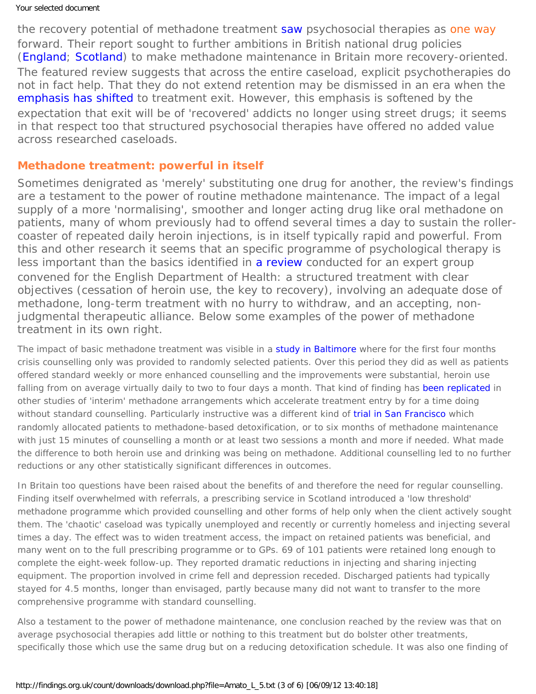the recovery potential of methadone treatment [saw](https://findings.org.uk/count/downloads/download.php?file=Strang_J_27.txt) psychosocial therapies as one way forward. Their report sought to further ambitions in British national drug policies ([England;](https://findings.org.uk/count/downloads/download.php?file=HM_Government_3.cab) [Scotland](http://www.scotland.gov.uk/Publications/2008/05/22161610/0)) to make methadone maintenance in Britain more recovery-oriented. The featured review suggests that across the entire caseload, explicit psychotherapies do not in fact help. That they do not extend retention may be dismissed in an era when the [emphasis has shifted](https://findings.org.uk/count/downloads/download.php?file=hot_subst_UK.hot) to treatment exit. However, this emphasis is softened by the expectation that exit will be of 'recovered' addicts no longer using street drugs; it seems in that respect too that structured psychosocial therapies have offered no added value across researched caseloads.

#### **Methadone treatment: powerful in itself**

Sometimes denigrated as 'merely' substituting one drug for another, the review's findings are a testament to the power of routine methadone maintenance. The impact of a legal supply of a more 'normalising', smoother and longer acting drug like oral methadone on patients, many of whom previously had to offend several times a day to sustain the rollercoaster of repeated daily heroin injections, is in itself typically rapid and powerful. From this and other research it seems that an specific programme of psychological therapy is less important than the basics identified in [a review](http://www.nta.nhs.uk/uploads/medications-in-recovery-appendixc.pdf) conducted for an expert group convened for the English Department of Health: a structured treatment with clear objectives (cessation of heroin use, the key to recovery), involving an adequate dose of methadone, long-term treatment with no hurry to withdraw, and an accepting, nonjudgmental therapeutic alliance. Below some examples of the power of methadone treatment in its own right.

The impact of basic methadone treatment was visible in a [study in Baltimore](https://findings.org.uk/count/downloads/download.php?file=Schwartz_RP_9.txt) where for the first four months crisis counselling only was provided to randomly selected patients. Over this period they did as well as patients offered standard weekly or more enhanced counselling and the improvements were substantial, heroin use falling from on average virtually daily to two to four days a month. That kind of finding has [been replicated](https://findings.org.uk/count/downloads/download.php?file=nug_15_6.pdf) in other studies of 'interim' methadone arrangements which accelerate treatment entry by for a time doing without standard counselling. Particularly instructive was a different kind of [trial in San Francisco](http://dx.doi.org/10.1016/j.drugalcdep.2007.11.021) which randomly allocated patients to methadone-based detoxification, or to six months of methadone maintenance with just 15 minutes of counselling a month or at least two sessions a month and more if needed. What made the difference to both heroin use and drinking was being on methadone. Additional counselling led to no further reductions or any other statistically significant differences in outcomes.

In Britain too questions have been raised about the benefits of and therefore the need for regular counselling. Finding itself overwhelmed with referrals, a prescribing service in Scotland introduced a 'low threshold' methadone programme which provided counselling and other forms of help only when the client actively sought them. The 'chaotic' caseload was typically unemployed and recently or currently homeless and injecting several times a day. The effect was to widen treatment access, the impact on retained patients was beneficial, and many went on to the full prescribing programme or to GPs. 69 of 101 patients were retained long enough to complete the eight-week follow-up. They reported dramatic reductions in injecting and sharing injecting equipment. The proportion involved in crime fell and depression receded. Discharged patients had typically stayed for 4.5 months, longer than envisaged, partly because many did not want to transfer to the more comprehensive programme with standard counselling.

Also a testament to the power of methadone maintenance, one conclusion reached by the review was that on average psychosocial therapies add little or nothing to this treatment but do bolster other treatments, specifically those which use the same drug but on a reducing detoxification schedule. It was also one finding of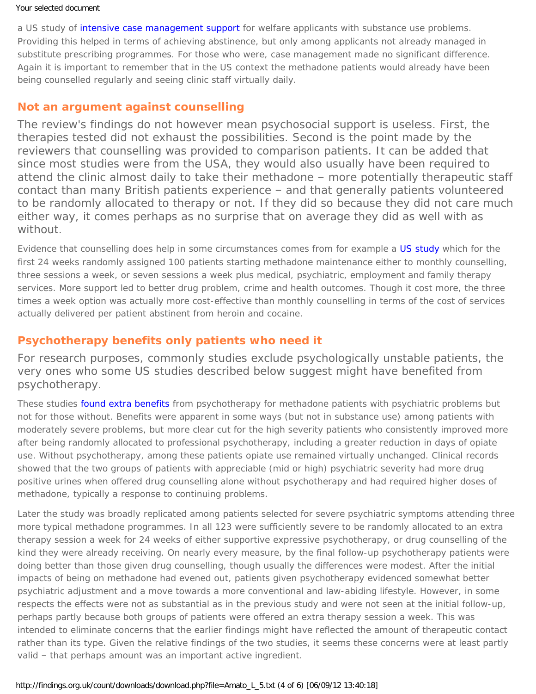#### Your selected document

a US study of [intensive case management support](https://findings.org.uk/count/downloads/download.php?file=Morgenstern_J_15.txt) for welfare applicants with substance use problems. Providing this helped in terms of achieving abstinence, but only among applicants not already managed in substitute prescribing programmes. For those who were, case management made no significant difference. Again it is important to remember that in the US context the methadone patients would already have been being counselled regularly and seeing clinic staff virtually daily.

#### **Not an argument against counselling**

The review's findings do not however mean psychosocial support is useless. First, the therapies tested did not exhaust the possibilities. Second is the point made by the reviewers that counselling was provided to comparison patients. It can be added that since most studies were from the USA, they would also usually have been required to attend the clinic almost daily to take their methadone – more potentially therapeutic staff contact than many British patients experience – and that generally patients volunteered to be randomly allocated to therapy or not. If they did so because they did not care much either way, it comes perhaps as no surprise that on average they did as well with as without.

Evidence that counselling does help in some circumstances comes from for example a [US study](https://findings.org.uk/count/downloads/download.php?file=nug_1_4.pdf) which for the first 24 weeks randomly assigned 100 patients starting methadone maintenance either to monthly counselling, three sessions a week, or seven sessions a week plus medical, psychiatric, employment and family therapy services. More support led to better drug problem, crime and health outcomes. Though it cost more, the three times a week option was actually more cost-effective than monthly counselling in terms of the cost of services actually delivered per patient abstinent from heroin and cocaine.

### **Psychotherapy benefits only patients who need it**

For research purposes, commonly studies exclude psychologically unstable patients, the very ones who some US studies described below suggest might have benefited from psychotherapy.

These studies [found extra benefits](https://findings.org.uk/count/downloads/download.php?file=nug_12_4_back.pdf) from psychotherapy for methadone patients with psychiatric problems but not for those without. Benefits were apparent in some ways (but not in substance use) among patients with moderately severe problems, but more clear cut for the high severity patients who consistently improved more after being randomly allocated to professional psychotherapy, including a greater reduction in days of opiate use. Without psychotherapy, among these patients opiate use remained virtually unchanged. Clinical records showed that the two groups of patients with appreciable (mid or high) psychiatric severity had more drug positive urines when offered drug counselling alone without psychotherapy and had required higher doses of methadone, typically a response to continuing problems.

Later the study was broadly replicated among patients selected for severe psychiatric symptoms attending three more typical methadone programmes. In all 123 were sufficiently severe to be randomly allocated to an extra therapy session a week for 24 weeks of either supportive expressive psychotherapy, or drug counselling of the kind they were already receiving. On nearly every measure, by the final follow-up psychotherapy patients were doing better than those given drug counselling, though usually the differences were modest. After the initial impacts of being on methadone had evened out, patients given psychotherapy evidenced somewhat better psychiatric adjustment and a move towards a more conventional and law-abiding lifestyle. However, in some respects the effects were not as substantial as in the previous study and were not seen at the initial follow-up, perhaps partly because both groups of patients were offered an extra therapy session a week. This was intended to eliminate concerns that the earlier findings might have reflected the amount of therapeutic contact rather than its type. Given the relative findings of the two studies, it seems these concerns were at least partly valid – that perhaps amount was an important active ingredient.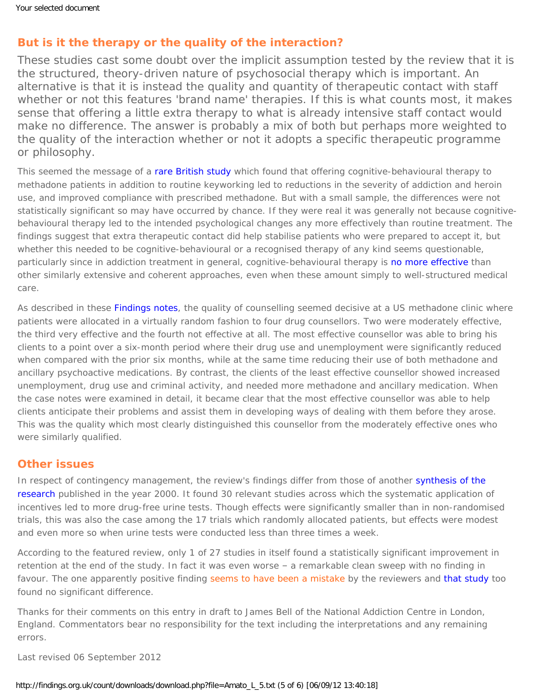# **But is it the therapy or the quality of the interaction?**

These studies cast some doubt over the implicit assumption tested by the review that it is the structured, theory-driven nature of psychosocial therapy which is important. An alternative is that it is instead the quality and quantity of therapeutic contact with staff whether or not this features 'brand name' therapies. If this is what counts most, it makes sense that offering a little extra therapy to what is already intensive staff contact would make no difference. The answer is probably a mix of both but perhaps more weighted to the quality of the interaction whether or not it adopts a specific therapeutic programme or philosophy.

This seemed the message of a [rare British study](https://findings.org.uk/count/downloads/download.php?file=Kouimtsidis_C_4.txt) which found that offering cognitive-behavioural therapy to methadone patients in addition to routine keyworking led to reductions in the severity of addiction and heroin use, and improved compliance with prescribed methadone. But with a small sample, the differences were not statistically significant so may have occurred by chance. If they were real it was generally not because cognitivebehavioural therapy led to the intended psychological changes any more effectively than routine treatment. The findings suggest that extra therapeutic contact did help stabilise patients who were prepared to accept it, but whether this needed to be cognitive-behavioural or a recognised therapy of any kind seems questionable, particularly since in addiction treatment in general, cognitive-behavioural therapy is [no more effective](https://findings.org.uk/count/downloads/download.php?file=Magill_M_2.txt) than other similarly extensive and coherent approaches, even when these amount simply to well-structured medical care.

As described in these [Findings notes](https://findings.org.uk/count/downloads/download.php?file=nug_15_6_back.pdf), the quality of counselling seemed decisive at a US methadone clinic where patients were allocated in a virtually random fashion to four drug counsellors. Two were moderately effective, the third very effective and the fourth not effective at all. The most effective counsellor was able to bring his clients to a point over a six-month period where their drug use and unemployment were significantly reduced when compared with the prior six months, while at the same time reducing their use of both methadone and ancillary psychoactive medications. By contrast, the clients of the least effective counsellor showed increased unemployment, drug use and criminal activity, and needed more methadone and ancillary medication. When the case notes were examined in detail, it became clear that the most effective counsellor was able to help clients anticipate their problems and assist them in developing ways of dealing with them before they arose. This was the quality which most clearly distinguished this counsellor from the moderately effective ones who were similarly qualified.

## **Other issues**

In respect of contingency management, the review's findings differ from those of another synthesis of the [research](https://findings.org.uk/count/downloads/download.php?file=nug_4_5.pdf) published in the year 2000. It found 30 relevant studies across which the systematic application of incentives led to more drug-free urine tests. Though effects were significantly smaller than in non-randomised trials, this was also the case among the 17 trials which randomly allocated patients, but effects were modest and even more so when urine tests were conducted less than three times a week.

According to the featured review, only 1 of 27 studies in itself found a statistically significant improvement in retention at the end of the study. In fact it was even worse – a remarkable clean sweep with no finding in favour. The one apparently positive finding [seems to have been a mistake](#page-0-0) by the reviewers and [that study](http://journals.cambridge.org/action/displayAbstract?fromPage=online&aid=43417) too found no significant difference.

*Thanks for their comments on this entry in draft to James Bell of the National Addiction Centre in London, England. Commentators bear no responsibility for the text including the interpretations and any remaining errors.*

Last revised 06 September 2012